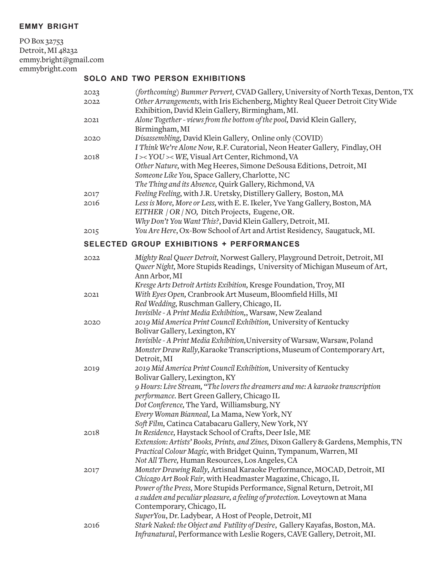## **emmy bright**

PO Box 32753 Detroit, MI 48232 emmy.bright@gmail.com emmybright.com

## **solo and two person exhibitions**

| 2023 | (forthcoming) Bummer Pervert, CVAD Gallery, University of North Texas, Denton, TX                                                 |
|------|-----------------------------------------------------------------------------------------------------------------------------------|
| 2022 | Other Arrangements, with Iris Eichenberg, Mighty Real Queer Detroit City Wide<br>Exhibition, David Klein Gallery, Birmingham, MI. |
| 2021 | Alone Together - views from the bottom of the pool, David Klein Gallery,                                                          |
|      | Birmingham, MI                                                                                                                    |
| 2020 | Disassembling, David Klein Gallery, Online only (COVID)                                                                           |
|      | I Think We're Alone Now, R.F. Curatorial, Neon Heater Gallery, Findlay, OH                                                        |
| 2018 | I >< YOU >< WE, Visual Art Center, Richmond, VA                                                                                   |
|      | Other Nature, with Meg Heeres, Simone DeSousa Editions, Detroit, MI                                                               |
|      | Someone Like You, Space Gallery, Charlotte, NC                                                                                    |
|      | The Thing and its Absence, Quirk Gallery, Richmond, VA                                                                            |
| 2017 | Feeling Feeling, with J.R. Uretsky, Distillery Gallery, Boston, MA                                                                |
| 2016 | Less is More, More or Less, with E. E. Ikeler, Yve Yang Gallery, Boston, MA                                                       |
|      | EITHER / OR / NO, Ditch Projects, Eugene, OR.                                                                                     |
|      | Why Don't You Want This?, David Klein Gallery, Detroit, MI.                                                                       |
| 2015 | You Are Here, Ox-Bow School of Art and Artist Residency, Saugatuck, MI.                                                           |
|      |                                                                                                                                   |
|      | <b>SELECTED GROUP EXHIBITIONS + PERFORMANCES</b>                                                                                  |
| 2022 | Mighty Real Queer Detroit, Norwest Gallery, Playground Detroit, Detroit, MI                                                       |
|      | Queer Night, More Stupids Readings, University of Michigan Museum of Art,                                                         |
|      | Ann Arbor, MI                                                                                                                     |
|      | Kresge Arts Detroit Artists Exibition, Kresge Foundation, Troy, MI                                                                |
| 2021 | With Eyes Open, Cranbrook Art Museum, Bloomfield Hills, MI                                                                        |
|      | Red Wedding, Ruschman Gallery, Chicago, IL                                                                                        |
|      | Invisible - A Print Media Exhibition,, Warsaw, New Zealand                                                                        |
| 2020 | 2019 Mid America Print Council Exhibition, University of Kentucky                                                                 |
|      | Bolivar Gallery, Lexington, KY                                                                                                    |
|      | Invisible - A Print Media Exhibition, University of Warsaw, Warsaw, Poland                                                        |
|      | Monster Draw Rally, Karaoke Transcriptions, Museum of Contemporary Art,                                                           |
|      | Detroit, MI                                                                                                                       |
| 2019 | 2019 Mid America Print Council Exhibition, University of Kentucky                                                                 |
|      | Bolivar Gallery, Lexington, KY                                                                                                    |
|      | 9 Hours: Live Stream, "The lovers the dreamers and me: A karaoke transcription                                                    |
|      | performance. Bert Green Gallery, Chicago IL                                                                                       |
|      | Dot Conference, The Yard, Williamsburg, NY                                                                                        |
|      | Every Woman Bianneal, La Mama, New York, NY                                                                                       |
| 2018 | Soft Film, Catinca Catabacaru Gallery, New York, NY<br>In Residence, Haystack School of Crafts, Deer Isle, ME                     |
|      | Extension: Artists' Books, Prints, and Zines, Dixon Gallery & Gardens, Memphis, TN                                                |
|      | Practical Colour Magic, with Bridget Quinn, Tympanum, Warren, MI                                                                  |
|      | Not All There, Human Resources, Los Angeles, CA                                                                                   |
|      | Monster Drawing Rally, Artisnal Karaoke Performance, MOCAD, Detroit, MI                                                           |
| 2017 | Chicago Art Book Fair, with Headmaster Magazine, Chicago, IL                                                                      |
|      | Power of the Press, More Stupids Performance, Signal Return, Detroit, MI                                                          |
|      | a sudden and peculiar pleasure, a feeling of protection. Loveytown at Mana                                                        |
|      | Contemporary, Chicago, IL                                                                                                         |
|      | SuperYou, Dr. Ladybear, A Host of People, Detroit, MI                                                                             |
| 2016 | Stark Naked: the Object and Futility of Desire, Gallery Kayafas, Boston, MA.                                                      |
|      | Infranatural, Performance with Leslie Rogers, CAVE Gallery, Detroit, MI.                                                          |
|      |                                                                                                                                   |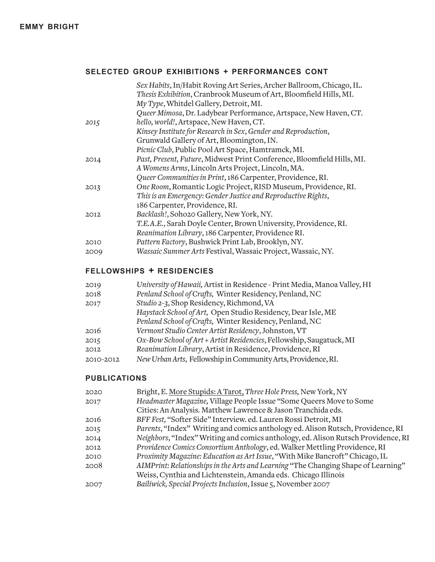# **selected group exhibitions + performances cont**

|      | Sex Habits, In/Habit Roving Art Series, Archer Ballroom, Chicago, IL.<br>Thesis Exhibition, Cranbrook Museum of Art, Bloomfield Hills, MI. |
|------|--------------------------------------------------------------------------------------------------------------------------------------------|
|      | My Type, Whitdel Gallery, Detroit, MI.                                                                                                     |
|      | Queer Mimosa, Dr. Ladybear Performance, Artspace, New Haven, CT.                                                                           |
| 2015 | hello, world!, Artspace, New Haven, CT.                                                                                                    |
|      | Kinsey Institute for Research in Sex, Gender and Reproduction,                                                                             |
|      | Grunwald Gallery of Art, Bloomington, IN.                                                                                                  |
|      | Picnic Club, Public Pool Art Space, Hamtramck, MI.                                                                                         |
| 2014 | Past, Present, Future, Midwest Print Conference, Bloomfield Hills, MI.                                                                     |
|      | A Womens Arms, Lincoln Arts Project, Lincoln, MA.                                                                                          |
|      | Queer Communities in Print, 186 Carpenter, Providence, RI.                                                                                 |
| 2013 | One Room, Romantic Logic Project, RISD Museum, Providence, RI.                                                                             |
|      | This is an Emergency: Gender Justice and Reproductive Rights,                                                                              |
|      | 186 Carpenter, Providence, RI.                                                                                                             |
| 2012 | Backlash!, Soho20 Gallery, New York, NY.                                                                                                   |
|      | T.E.A.E., Sarah Doyle Center, Brown University, Providence, RI.                                                                            |
|      | Reanimation Library, 186 Carpenter, Providence RI.                                                                                         |
| 2010 | Pattern Factory, Bushwick Print Lab, Brooklyn, NY.                                                                                         |
| 2009 | Wassaic Summer Arts Festival, Wassaic Project, Wassaic, NY.                                                                                |

# **fellowships + residencies**

| University of Hawaii, Artist in Residence - Print Media, Manoa Valley, HI |
|---------------------------------------------------------------------------|
| Penland School of Crafts, Winter Residency, Penland, NC                   |
| Studio 2-3, Shop Residency, Richmond, VA                                  |
| Haystack School of Art, Open Studio Residency, Dear Isle, ME              |
| Penland School of Crafts, Winter Residency, Penland, NC                   |
| Vermont Studio Center Artist Residency, Johnston, VT                      |
| Ox-Bow School of Art + Artist Residencies, Fellowship, Saugatuck, MI      |
| Reanimation Library, Artist in Residence, Providence, RI                  |
| New Urban Arts, Fellowship in Community Arts, Providence, RI.             |
|                                                                           |

### **publications**

| 2020 | Bright, E. More Stupids: A Tarot, Three Hole Press, New York, NY                  |
|------|-----------------------------------------------------------------------------------|
| 2017 | Headmaster Magazine, Village People Issue "Some Queers Move to Some               |
|      | Cities: An Analysis. Matthew Lawrence & Jason Tranchida eds.                      |
| 2016 | BFF Fest, "Softer Side" Interview. ed. Lauren Rossi Detroit, MI                   |
| 2015 | Parents, "Index" Writing and comics anthology ed. Alison Rutsch, Providence, RI   |
| 2014 | Neighbors, "Index" Writing and comics anthology, ed. Alison Rutsch Providence, RI |
| 2012 | Providence Comics Consortium Anthology, ed. Walker Mettling Providence, RI        |
| 2010 | Proximity Magazine: Education as Art Issue, "With Mike Bancroft" Chicago, IL      |
| 2008 | AIMPrint: Relationships in the Arts and Learning "The Changing Shape of Learning" |
|      | Weiss, Cynthia and Lichtenstein, Amanda eds. Chicago Illinois                     |
| 2007 | Bailiwick, Special Projects Inclusion, Issue 5, November 2007                     |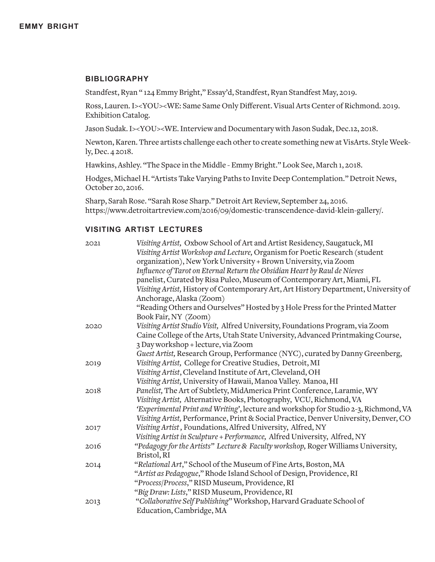#### **bibliography**

Standfest, Ryan " 124 Emmy Bright," Essay'd, Standfest, Ryan Standfest May, 2019.

Ross, Lauren. I><YOU><WE: Same Same Only Different. Visual Arts Center of Richmond. 2019. Exhibition Catalog.

Jason Sudak. I><YOU><WE. Interview and Documentary with Jason Sudak, Dec.12, 2018.

Newton, Karen. Three artists challenge each other to create something new at VisArts. Style Weekly, Dec. 4 2018.

Hawkins, Ashley. "The Space in the Middle - Emmy Bright." Look See, March 1, 2018.

Hodges, Michael H. "Artists Take Varying Paths to Invite Deep Contemplation." Detroit News, October 20, 2016.

Sharp, Sarah Rose. "Sarah Rose Sharp." Detroit Art Review, September 24, 2016. https://www.detroitartreview.com/2016/09/domestic-transcendence-david-klein-gallery/.

#### **visiting artist lectures**

| 2021 | Visiting Artist, Oxbow School of Art and Artist Residency, Saugatuck, MI             |
|------|--------------------------------------------------------------------------------------|
|      | Visiting Artist Workshop and Lecture, Organism for Poetic Research (student          |
|      | organization), New York University + Brown University, via Zoom                      |
|      | Influence of Tarot on Eternal Return the Obsidian Heart by Raul de Nieves            |
|      | panelist, Curated by Risa Puleo, Museum of Contemporary Art, Miami, FL               |
|      | Visiting Artist, History of Contemporary Art, Art History Department, University of  |
|      | Anchorage, Alaska (Zoom)                                                             |
|      | "Reading Others and Ourselves" Hosted by 3 Hole Press for the Printed Matter         |
|      | Book Fair, NY (Zoom)                                                                 |
| 2020 | Visiting Artist Studio Visit, Alfred University, Foundations Program, via Zoom       |
|      | Caine College of the Arts, Utah State University, Advanced Printmaking Course,       |
|      | 3 Day workshop + lecture, via Zoom                                                   |
|      | Guest Artist, Research Group, Performance (NYC), curated by Danny Greenberg,         |
| 2019 | Visiting Artist, College for Creative Studies, Detroit, MI                           |
|      | Visiting Artist, Cleveland Institute of Art, Cleveland, OH                           |
|      | Visiting Artist, University of Hawaii, Manoa Valley. Manoa, HI                       |
| 2018 | Panelist, The Art of Subtlety, MidAmerica Print Conference, Laramie, WY              |
|      | Visiting Artist, Alternative Books, Photography, VCU, Richmond, VA                   |
|      | 'Experimental Print and Writing', lecture and workshop for Studio 2-3, Richmond, VA  |
|      | Visiting Artist, Performance, Print & Social Practice, Denver University, Denver, CO |
| 2017 | Visiting Artist, Foundations, Alfred University, Alfred, NY                          |
|      | Visiting Artist in Sculpture + Performance, Alfred University, Alfred, NY            |
| 2016 | "Pedagogy for the Artists" Lecture & Faculty workshop, Roger Williams University,    |
|      | Bristol, RI                                                                          |
| 2014 | "Relational Art," School of the Museum of Fine Arts, Boston, MA                      |
|      | "Artist as Pedagogue," Rhode Island School of Design, Providence, RI                 |
|      | "Process/Process," RISD Museum, Providence, RI                                       |
|      | "Big Draw: Lists," RISD Museum, Providence, RI                                       |
| 2013 | "Collaborative Self Publishing" Workshop, Harvard Graduate School of                 |
|      | Education, Cambridge, MA                                                             |